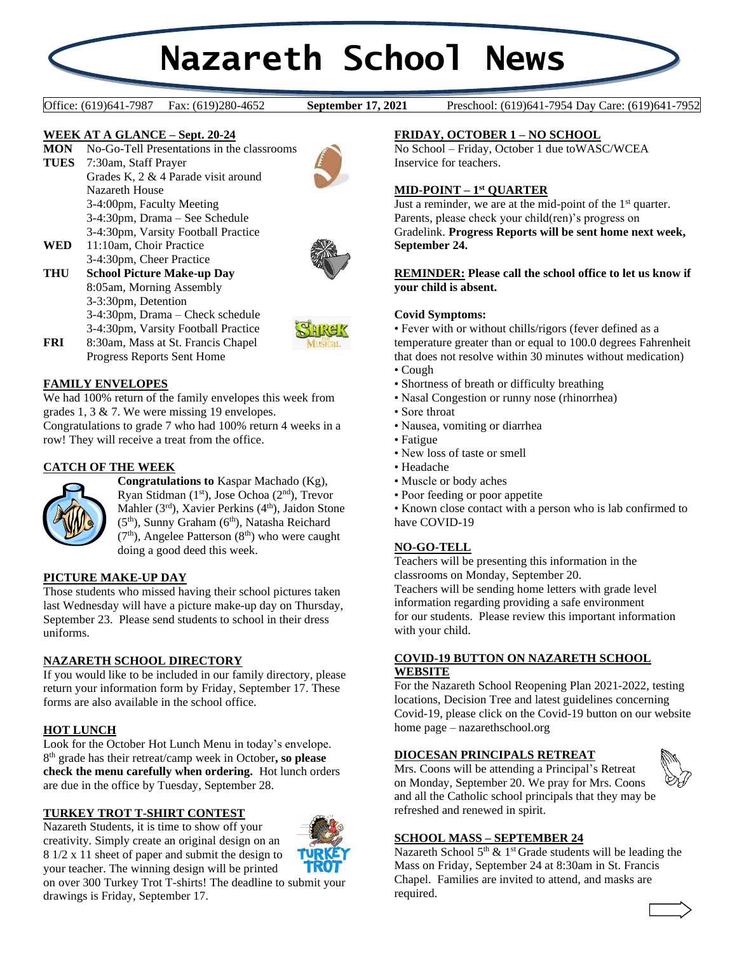# **Nazareth School News**

**September 17, 2021** 

Office: (619)641-7987 Fax: (619)280-4652 **September 17, 2021** Preschool: (619)641-7954 Day Care: (619)641-7952

# **WEEK AT A GLANCE – Sept. 20-24**

**MON** No-Go-Tell Presentations in the classrooms

- **TUES** 7:30am, Staff Prayer Grades K, 2 & 4 Parade visit around Nazareth House 3-4:00pm, Faculty Meeting 3-4:30pm, Drama – See Schedule 3-4:30pm, Varsity Football Practice
- **WED** 11:10am, Choir Practice 3-4:30pm, Cheer Practice
- **THU School Picture Make-up Day** 8:05am, Morning Assembly 3-3:30pm, Detention 3-4:30pm, Drama – Check schedule 3-4:30pm, Varsity Football Practice **FRI** 8:30am, Mass at St. Francis Chapel





Progress Reports Sent Home

# **FAMILY ENVELOPES**

We had 100% return of the family envelopes this week from grades 1, 3 & 7. We were missing 19 envelopes. Congratulations to grade 7 who had 100% return 4 weeks in a row! They will receive a treat from the office.

# **CATCH OF THE WEEK**



**Congratulations to** Kaspar Machado (Kg), Ryan Stidman (1<sup>st</sup>), Jose Ochoa (2<sup>nd</sup>), Trevor Mahler (3rd), Xavier Perkins (4<sup>th</sup>), Jaidon Stone  $(5<sup>th</sup>)$ , Sunny Graham  $(6<sup>th</sup>)$ , Natasha Reichard  $(7<sup>th</sup>)$ , Angelee Patterson  $(8<sup>th</sup>)$  who were caught doing a good deed this week.

## **PICTURE MAKE-UP DAY**

Those students who missed having their school pictures taken last Wednesday will have a picture make-up day on Thursday, September 23. Please send students to school in their dress uniforms.

## **NAZARETH SCHOOL DIRECTORY**

If you would like to be included in our family directory, please return your information form by Friday, September 17. These forms are also available in the school office.

#### **HOT LUNCH**

Look for the October Hot Lunch Menu in today's envelope. 8 th grade has their retreat/camp week in October**, so please check the menu carefully when ordering.** Hot lunch orders are due in the office by Tuesday, September 28.

#### **TURKEY TROT T-SHIRT CONTEST**

Nazareth Students, it is time to show off your creativity. Simply create an original design on an 8 1/2 x 11 sheet of paper and submit the design to your teacher. The winning design will be printed



on over 300 Turkey Trot T-shirts! The deadline to submit your drawings is Friday, September 17.

#### **FRIDAY, OCTOBER 1 – NO SCHOOL**

No School – Friday, October 1 due toWASC/WCEA Inservice for teachers.

#### **MID-POINT – 1 st QUARTER**

Just a reminder, we are at the mid-point of the  $1<sup>st</sup>$  quarter. Parents, please check your child(ren)'s progress on Gradelink. **Progress Reports will be sent home next week, September 24.**

#### **REMINDER: Please call the school office to let us know if your child is absent.**

#### **Covid Symptoms:**

• Fever with or without chills/rigors (fever defined as a temperature greater than or equal to 100.0 degrees Fahrenheit that does not resolve within 30 minutes without medication)

- Cough
- Shortness of breath or difficulty breathing
- Nasal Congestion or runny nose (rhinorrhea)
- Sore throat
- Nausea, vomiting or diarrhea
- Fatigue
- New loss of taste or smell
- Headache
- Muscle or body aches
- Poor feeding or poor appetite

• Known close contact with a person who is lab confirmed to have COVID-19

#### **NO-GO-TELL**

Teachers will be presenting this information in the classrooms on Monday, September 20. Teachers will be sending home letters with grade level information regarding providing a safe environment for our students. Please review this important information with your child.

## **COVID-19 BUTTON ON NAZARETH SCHOOL WEBSITE**

For the Nazareth School Reopening Plan 2021-2022, testing locations, Decision Tree and latest guidelines concerning Covid-19, please click on the Covid-19 button on our website home page – nazarethschool.org

## **DIOCESAN PRINCIPALS RETREAT**

Mrs. Coons will be attending a Principal's Retreat on Monday, September 20. We pray for Mrs. Coons and all the Catholic school principals that they may be refreshed and renewed in spirit.



### **SCHOOL MASS – SEPTEMBER 24**

Nazareth School  $5<sup>th</sup>$  & 1<sup>st</sup> Grade students will be leading the Mass on Friday, September 24 at 8:30am in St. Francis Chapel. Families are invited to attend, and masks are required.